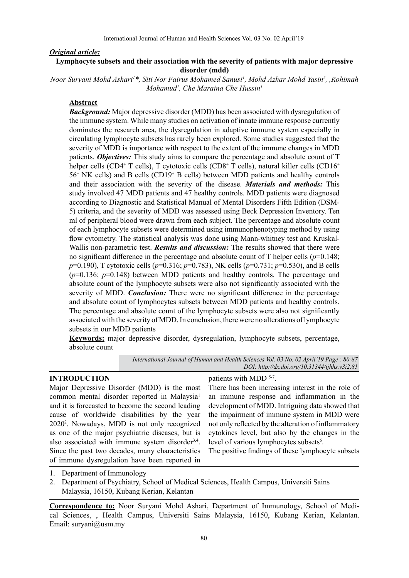# *Original article:*

# **Lymphocyte subsets and their association with the severity of patients with major depressive disorder (mdd)**

*Noor Suryani Mohd Ashari1 \*, Siti Nor Fairus Mohamed Sanusi1 , Mohd Azhar Mohd Yasin2 , ,Rohimah Mohamud1 , Che Maraina Che Hussin1*

# **Abstract**

*Background:* Major depressive disorder (MDD) has been associated with dysregulation of the immune system. While many studies on activation of innate immune response currently dominates the research area, the dysregulation in adaptive immune system especially in circulating lymphocyte subsets has rarely been explored. Some studies suggested that the severity of MDD is importance with respect to the extent of the immune changes in MDD patients. *Objectives:* This study aims to compare the percentage and absolute count of T helper cells (CD4+ T cells), T cytotoxic cells (CD8+ T cells), natural killer cells (CD16+ 56+ NK cells) and B cells (CD19+ B cells) between MDD patients and healthy controls and their association with the severity of the disease. *Materials and methods:* This study involved 47 MDD patients and 47 healthy controls. MDD patients were diagnosed according to Diagnostic and Statistical Manual of Mental Disorders Fifth Edition (DSM-5) criteria, and the severity of MDD was assessed using Beck Depression Inventory. Ten ml of peripheral blood were drawn from each subject. The percentage and absolute count of each lymphocyte subsets were determined using immunophenotyping method by using flow cytometry. The statistical analysis was done using Mann-whitney test and Kruskal-Wallis non-parametric test. *Results and discussion:* The results showed that there were no significant difference in the percentage and absolute count of T helper cells  $(p=0.148;$ *p*=0.190), T cytotoxic cells (*p*=0.316; *p*=0.783), NK cells (*p*=0.731; *p*=0.530), and B cells  $(p=0.136; p=0.148)$  between MDD patients and healthy controls. The percentage and absolute count of the lymphocyte subsets were also not significantly associated with the severity of MDD. *Conclusion:* There were no significant difference in the percentage and absolute count of lymphocytes subsets between MDD patients and healthy controls. The percentage and absolute count of the lymphocyte subsets were also not significantly associated with the severity of MDD. In conclusion, there were no alterations of lymphocyte subsets in our MDD patients

**Keywords:** major depressive disorder, dysregulation, lymphocyte subsets, percentage, absolute count

> *International Journal of Human and Health Sciences Vol. 03 No. 02 April'19 Page : 80-87 DOI: http://dx.doi.org/10.31344/ijhhs.v3i2.81*

#### **INTRODUCTION**

Major Depressive Disorder (MDD) is the most common mental disorder reported in Malaysia<sup>1</sup> and it is forecasted to become the second leading cause of worldwide disabilities by the year 20202 . Nowadays, MDD is not only recognized as one of the major psychiatric diseases, but is also associated with immune system disorder<sup>3,4</sup>. Since the past two decades, many characteristics of immune dysregulation have been reported in

# patients with MDD <sup>5-7</sup>.

There has been increasing interest in the role of an immune response and inflammation in the development of MDD. Intriguing data showed that the impairment of immune system in MDD were not only reflected by the alteration of inflammatory cytokines level, but also by the changes in the level of various lymphocytes subsets<sup>6</sup>.

The positive findings of these lymphocyte subsets

2. Department of Psychiatry, School of Medical Sciences, Health Campus, Universiti Sains Malaysia, 16150, Kubang Kerian, Kelantan

**Correspondence to:** Noor Suryani Mohd Ashari, Department of Immunology, School of Medical Sciences, , Health Campus, Universiti Sains Malaysia, 16150, Kubang Kerian, Kelantan. Email: suryani@usm.my

<sup>1.</sup> Department of Immunology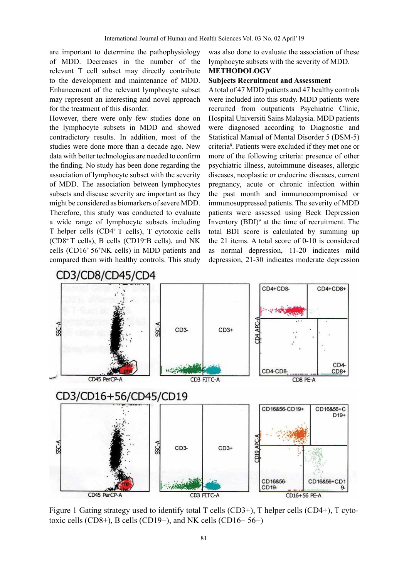are important to determine the pathophysiology of MDD. Decreases in the number of the relevant T cell subset may directly contribute to the development and maintenance of MDD. Enhancement of the relevant lymphocyte subset may represent an interesting and novel approach for the treatment of this disorder.

However, there were only few studies done on the lymphocyte subsets in MDD and showed contradictory results. In addition, most of the studies were done more than a decade ago. New data with better technologies are needed to confirm the finding. No study has been done regarding the association of lymphocyte subset with the severity of MDD. The association between lymphocytes subsets and disease severity are important as they might be considered as biomarkers of severe MDD. Therefore, this study was conducted to evaluate a wide range of lymphocyte subsets including T helper cells (CD4+ T cells), T cytotoxic cells (CD8+ T cells), B cells (CD19+ B cells), and NK cells (CD16+ 56+ NK cells) in MDD patients and compared them with healthy controls. This study

was also done to evaluate the association of these lymphocyte subsets with the severity of MDD.

# **METHODOLOGY Subjects Recruitment and Assessment**

A total of 47 MDD patients and 47 healthy controls were included into this study. MDD patients were recruited from outpatients Psychiatric Clinic, Hospital Universiti Sains Malaysia. MDD patients were diagnosed according to Diagnostic and Statistical Manual of Mental Disorder 5 (DSM-5) criteria8 . Patients were excluded if they met one or more of the following criteria: presence of other psychiatric illness, autoimmune diseases, allergic diseases, neoplastic or endocrine diseases, current pregnancy, acute or chronic infection within the past month and immunocompromised or immunosuppressed patients. The severity of MDD patients were assessed using Beck Depression Inventory  $(BDI)^9$  at the time of recruitment. The total BDI score is calculated by summing up the 21 items. A total score of 0-10 is considered as normal depression, 11-20 indicates mild depression, 21-30 indicates moderate depression



Figure 1 Gating strategy used to identify total T cells (CD3+), T helper cells (CD4+), T cytotoxic cells (CD8+), B cells (CD19+), and NK cells (CD16+  $56+$ )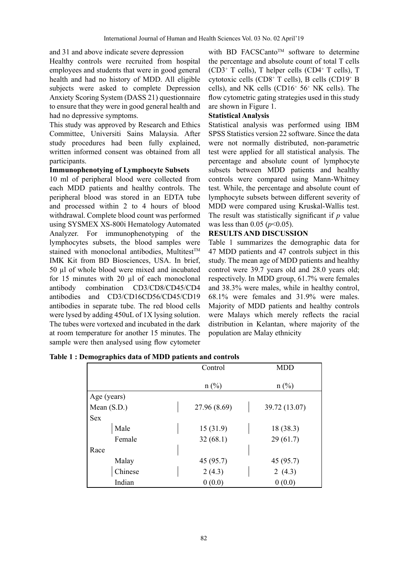and 31 and above indicate severe depression

Healthy controls were recruited from hospital employees and students that were in good general health and had no history of MDD. All eligible subjects were asked to complete Depression Anxiety Scoring System (DASS 21) questionnaire to ensure that they were in good general health and had no depressive symptoms.

This study was approved by Research and Ethics Committee, Universiti Sains Malaysia. After study procedures had been fully explained, written informed consent was obtained from all participants.

# **Immunophenotying of Lymphocyte Subsets**

10 ml of peripheral blood were collected from each MDD patients and healthy controls. The peripheral blood was stored in an EDTA tube and processed within 2 to 4 hours of blood withdrawal. Complete blood count was performed using SYSMEX XS-800i Hematology Automated Analyzer. For immunophenotyping of the lymphocytes subsets, the blood samples were stained with monoclonal antibodies, Multitest<sup>™</sup> IMK Kit from BD Biosciences, USA. In brief, 50 µl of whole blood were mixed and incubated for 15 minutes with 20 µl of each monoclonal antibody combination CD3/CD8/CD45/CD4 antibodies and CD3/CD16CD56/CD45/CD19 antibodies in separate tube. The red blood cells were lysed by adding 450uL of 1X lysing solution. The tubes were vortexed and incubated in the dark at room temperature for another 15 minutes. The sample were then analysed using flow cytometer

with BD FACSCanto™ software to determine the percentage and absolute count of total T cells (CD3+ T cells), T helper cells (CD4+ T cells), T cytotoxic cells (CD8+ T cells), B cells (CD19+ B cells), and NK cells (CD16+ 56+ NK cells). The flow cytometric gating strategies used in this study are shown in Figure 1.

#### **Statistical Analysis**

Statistical analysis was performed using IBM SPSS Statistics version 22 software. Since the data were not normally distributed, non-parametric test were applied for all statistical analysis. The percentage and absolute count of lymphocyte subsets between MDD patients and healthy controls were compared using Mann-Whitney test. While, the percentage and absolute count of lymphocyte subsets between different severity of MDD were compared using Kruskal-Wallis test. The result was statistically significant if *p* value was less than 0.05 (*p*<0.05).

#### **RESULTS AND DISCUSSION**

Table 1 summarizes the demographic data for 47 MDD patients and 47 controls subject in this study. The mean age of MDD patients and healthy control were 39.7 years old and 28.0 years old; respectively. In MDD group, 61.7% were females and 38.3% were males, while in healthy control, 68.1% were females and 31.9% were males. Majority of MDD patients and healthy controls were Malays which merely reflects the racial distribution in Kelantan, where majority of the population are Malay ethnicity

|             | Control        | <b>MDD</b>    |
|-------------|----------------|---------------|
|             | $n(^{0}/_{0})$ | $n$ (%)       |
| Age (years) |                |               |
| Mean (S.D.) | 27.96 (8.69)   | 39.72 (13.07) |
| <b>Sex</b>  |                |               |
| Male        | 15(31.9)       | 18 (38.3)     |
| Female      | 32(68.1)       | 29(61.7)      |
| Race        |                |               |
| Malay       | 45 (95.7)      | 45 (95.7)     |
| Chinese     | 2(4.3)         | 2 $(4.3)$     |
| Indian      | 0(0.0)         | 0(0.0)        |

|  |  | Table 1: Demographics data of MDD patients and controls |  |
|--|--|---------------------------------------------------------|--|
|  |  |                                                         |  |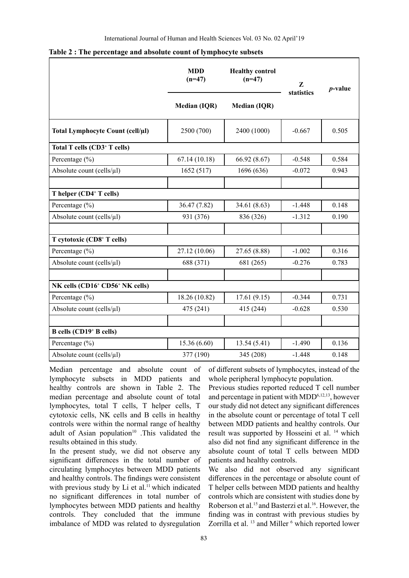|                                                         | <b>MDD</b><br>$(n=47)$ | <b>Healthy control</b><br>$(n=47)$ | Z<br>statistics | $p$ -value |
|---------------------------------------------------------|------------------------|------------------------------------|-----------------|------------|
|                                                         | <b>Median (IQR)</b>    | <b>Median (IQR)</b>                |                 |            |
| Total Lymphocyte Count (cell/µl)                        | 2500 (700)             | 2400 (1000)                        | $-0.667$        | 0.505      |
| Total T cells (CD3+ T cells)                            |                        |                                    |                 |            |
| Percentage (%)                                          | 67.14(10.18)           | 66.92 (8.67)                       | $-0.548$        | 0.584      |
| Absolute count (cells/µl)                               | 1652 (517)             | 1696 (636)                         | $-0.072$        | 0.943      |
|                                                         |                        |                                    |                 |            |
| T helper (CD4+ T cells)                                 |                        |                                    |                 |            |
| Percentage (%)                                          | 36.47 (7.82)           | 34.61 (8.63)                       | $-1.448$        | 0.148      |
| Absolute count (cells/µl)                               | 931 (376)              | 836 (326)                          | $-1.312$        | 0.190      |
|                                                         |                        |                                    |                 |            |
| T cytotoxic (CD8+ T cells)                              |                        |                                    |                 |            |
| Percentage $(\% )$                                      | 27.12 (10.06)          | 27.65 (8.88)                       | $-1.002$        | 0.316      |
| Absolute count (cells/ $\mu$ l)                         | 688 (371)              | 681 (265)                          | $-0.276$        | 0.783      |
|                                                         |                        |                                    |                 |            |
| NK cells (CD16 <sup>+</sup> CD56 <sup>+</sup> NK cells) |                        |                                    |                 |            |
| Percentage $(\% )$                                      | 18.26 (10.82)          | 17.61(9.15)                        | $-0.344$        | 0.731      |
| Absolute count (cells/ $\mu$ l)                         | 475 (241)              | 415 (244)                          | $-0.628$        | 0.530      |
|                                                         |                        |                                    |                 |            |
| <b>B</b> cells (CD19 <sup>+</sup> <b>B</b> cells)       |                        |                                    |                 |            |
| Percentage $(\% )$                                      | 15.36 (6.60)           | 13.54(5.41)                        | $-1.490$        | 0.136      |
| Absolute count (cells/µl)                               | 377 (190)              | 345 (208)                          | $-1.448$        | 0.148      |

**Table 2 : The percentage and absolute count of lymphocyte subsets** 

Median percentage and absolute count of lymphocyte subsets in MDD patients and healthy controls are shown in Table 2. The median percentage and absolute count of total lymphocytes, total T cells, T helper cells, T cytotoxic cells, NK cells and B cells in healthy controls were within the normal range of healthy adult of Asian population<sup>10</sup> .This validated the results obtained in this study.

In the present study, we did not observe any significant differences in the total number of circulating lymphocytes between MDD patients and healthy controls. The findings were consistent with previous study by  $Li$  et al.<sup>11</sup> which indicated no significant differences in total number of lymphocytes between MDD patients and healthy controls. They concluded that the immune imbalance of MDD was related to dysregulation

of different subsets of lymphocytes, instead of the whole peripheral lymphocyte population.

Previous studies reported reduced T cell number and percentage in patient with MDD<sup>6,12,13</sup>, however our study did not detect any significant differences in the absolute count or percentage of total T cell between MDD patients and healthy controls. Our result was supported by Hosseini et al. 14 which also did not find any significant difference in the absolute count of total T cells between MDD patients and healthy controls.

We also did not observed any significant differences in the percentage or absolute count of T helper cells between MDD patients and healthy controls which are consistent with studies done by Roberson et al.<sup>15</sup> and Basterzi et al.<sup>16</sup>. However, the finding was in contrast with previous studies by Zorrilla et al. <sup>13</sup> and Miller <sup>6</sup> which reported lower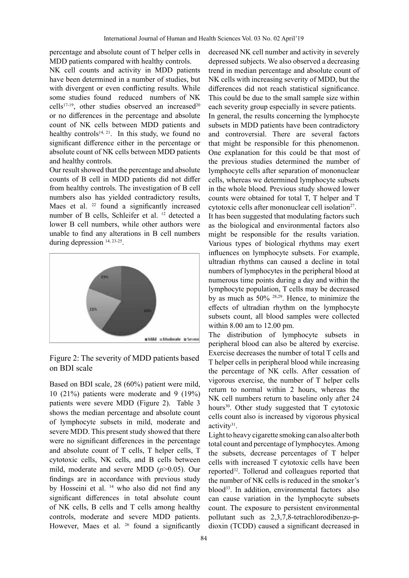percentage and absolute count of T helper cells in MDD patients compared with healthy controls.

NK cell counts and activity in MDD patients have been determined in a number of studies, but with divergent or even conflicting results. While some studies found reduced numbers of NK cells<sup>17-19</sup>, other studies observed an increased<sup>20</sup> or no differences in the percentage and absolute count of NK cells between MDD patients and healthy controls<sup>14, 21</sup>. In this study, we found no significant difference either in the percentage or absolute count of NK cells between MDD patients and healthy controls.

Our result showed that the percentage and absolute counts of B cell in MDD patients did not differ from healthy controls. The investigation of B cell numbers also has yielded contradictory results, Maes et al. <sup>22</sup> found a significantly increased number of B cells, Schleifer et al. 12 detected a lower B cell numbers, while other authors were unable to find any alterations in B cell numbers during depression 14, 23-25.



Figure 2: The severity of MDD patients based on **BDI** scale

Based on BDI scale, 28 (60%) patient were mild, 10 (21%) patients were moderate and 9 (19%) patients were severe MDD (Figure 2). Table 3 shows the median percentage and absolute count of lymphocyte subsets in mild, moderate and severe MDD. This present study showed that there were no significant differences in the percentage and absolute count of T cells, T helper cells, T cytotoxic cells, NK cells, and B cells between mild, moderate and severe MDD (*p*>0.05). Our findings are in accordance with previous study by Hosseini et al. 14 who also did not find any significant differences in total absolute count of NK cells, B cells and T cells among healthy controls, moderate and severe MDD patients. However, Maes et al. <sup>26</sup> found a significantly decreased NK cell number and activity in severely depressed subjects. We also observed a decreasing trend in median percentage and absolute count of NK cells with increasing severity of MDD, but the differences did not reach statistical significance. This could be due to the small sample size within each severity group especially in severe patients. In general, the results concerning the lymphocyte subsets in MDD patients have been contradictory and controversial. There are several factors that might be responsible for this phenomenon. One explanation for this could be that most of the previous studies determined the number of lymphocyte cells after separation of mononuclear cells, whereas we determined lymphocyte subsets in the whole blood. Previous study showed lower counts were obtained for total T, T helper and T cytotoxic cells after mononuclear cell isolation<sup>27</sup>. It has been suggested that modulating factors such as the biological and environmental factors also might be responsible for the results variation. Various types of biological rhythms may exert influences on lymphocyte subsets. For example, ultradian rhythms can caused a decline in total numbers of lymphocytes in the peripheral blood at numerous time points during a day and within the lymphocyte population, T cells may be decreased by as much as 50% 28,29. Hence, to minimize the effects of ultradian rhythm on the lymphocyte subsets count, all blood samples were collected within 8.00 am to 12.00 pm.

The distribution of lymphocyte subsets in peripheral blood can also be altered by exercise. Exercise decreases the number of total T cells and T helper cells in peripheral blood while increasing the percentage of NK cells. After cessation of vigorous exercise, the number of T helper cells return to normal within 2 hours, whereas the NK cell numbers return to baseline only after 24 hours<sup>30</sup>. Other study suggested that  $T$  cytotoxic cells count also is increased by vigorous physical activity31.

Light to heavy cigarette smoking can also alter both total count and percentage of lymphocytes. Among the subsets, decrease percentages of T helper cells with increased T cytotoxic cells have been reported32. Tollerud and colleagues reported that the number of NK cells is reduced in the smoker's blood<sup>33</sup>. In addition, environmental factors also can cause variation in the lymphocyte subsets count. The exposure to persistent environmental pollutant such as 2,3,7,8-tetrachlorodibenzo-pdioxin (TCDD) caused a significant decreased in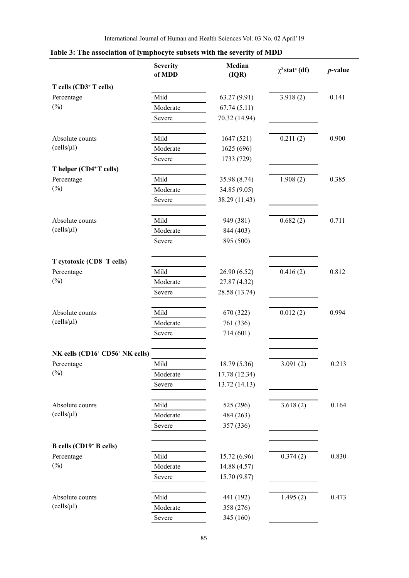|                                                         | <b>Severity</b><br>of MDD | Median<br>(IQR) | $\chi^2$ stat <sup>a</sup> (df) | $p$ -value |
|---------------------------------------------------------|---------------------------|-----------------|---------------------------------|------------|
| T cells (CD3 <sup>+</sup> T cells)                      |                           |                 |                                 |            |
| Percentage                                              | Mild                      | 63.27 (9.91)    | 3.918(2)                        | 0.141      |
| $(\%)$                                                  | Moderate                  | 67.74(5.11)     |                                 |            |
|                                                         | Severe                    | 70.32 (14.94)   |                                 |            |
| Absolute counts                                         | Mild                      | 1647 (521)      | 0.211(2)                        | 0.900      |
| (cells/µl)                                              | Moderate                  | 1625 (696)      |                                 |            |
|                                                         | Severe                    | 1733 (729)      |                                 |            |
| T helper (CD4+T cells)                                  |                           |                 |                                 |            |
| Percentage                                              | Mild                      | 35.98 (8.74)    | 1.908(2)                        | 0.385      |
| $(\%)$                                                  | Moderate                  | 34.85 (9.05)    |                                 |            |
|                                                         | Severe                    | 38.29 (11.43)   |                                 |            |
| Absolute counts                                         | Mild                      | 949 (381)       | 0.682(2)                        | 0.711      |
| (cells/µl)                                              | Moderate                  | 844 (403)       |                                 |            |
|                                                         | Severe                    | 895 (500)       |                                 |            |
| T cytotoxic (CD8+ T cells)                              |                           |                 |                                 |            |
| Percentage                                              | Mild                      | 26.90 (6.52)    | 0.416(2)                        | 0.812      |
| $(\%)$                                                  | Moderate                  | 27.87 (4.32)    |                                 |            |
|                                                         | Severe                    | 28.58 (13.74)   |                                 |            |
| Absolute counts                                         | Mild                      | 670 (322)       | 0.012(2)                        | 0.994      |
| (cells/µl)                                              | Moderate                  | 761 (336)       |                                 |            |
|                                                         | Severe                    | 714 (601)       |                                 |            |
| NK cells (CD16 <sup>+</sup> CD56 <sup>+</sup> NK cells) |                           |                 |                                 |            |
| Percentage                                              | Mild                      | 18.79 (5.36)    | 3.091(2)                        | 0.213      |
| $(\%)$                                                  | Moderate                  | 17.78 (12.34)   |                                 |            |
|                                                         | Severe                    | 13.72 (14.13)   |                                 |            |
| Absolute counts                                         | Mild                      | 525 (296)       | 3.618(2)                        | 0.164      |
| (cells/µl)                                              | Moderate                  | 484 (263)       |                                 |            |
|                                                         | Severe                    | 357 (336)       |                                 |            |
| B cells (CD19 <sup>+</sup> B cells)                     |                           |                 |                                 |            |
| Percentage                                              | Mild                      | 15.72 (6.96)    | 0.374(2)                        | 0.830      |
| $(\%)$                                                  | Moderate                  | 14.88 (4.57)    |                                 |            |
|                                                         | Severe                    | 15.70 (9.87)    |                                 |            |
| Absolute counts                                         | Mild                      | 441 (192)       | 1.495(2)                        | 0.473      |
| (cells/µl)                                              | Moderate                  | 358 (276)       |                                 |            |
|                                                         | Severe                    | 345 (160)       |                                 |            |

# **Table 3: The association of lymphocyte subsets with the severity of MDD**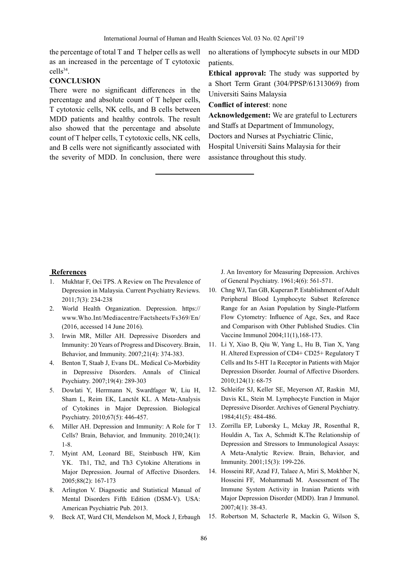the percentage of total T and T helper cells as well as an increased in the percentage of T cytotoxic cells<sup>34</sup>.

# **CONCLUSION**

There were no significant differences in the percentage and absolute count of T helper cells, T cytotoxic cells, NK cells, and B cells between MDD patients and healthy controls. The result also showed that the percentage and absolute count of T helper cells, T cytotoxic cells, NK cells, and B cells were not significantly associated with the severity of MDD. In conclusion, there were no alterations of lymphocyte subsets in our MDD patients.

**Ethical approval:** The study was supported by a Short Term Grant (304/PPSP/61313069) from Universiti Sains Malaysia

**Conflict of interest**: none

**Acknowledgement:** We are grateful to Lecturers and Staffs at Department of Immunology, Doctors and Nurses at Psychiatric Clinic,

Hospital Universiti Sains Malaysia for their assistance throughout this study.

# **References**

- 1. Mukhtar F, Oei TPS. A Review on The Prevalence of Depression in Malaysia. Current Psychiatry Reviews. 2011;7(3): 234-238
- 2. World Health Organization. Depression. https:// www.Who.Int/Mediacentre/Factsheets/Fs369/En/ (2016, accessed 14 June 2016).
- 3. Irwin MR, Miller AH. Depressive Disorders and Immunity: 20 Years of Progress and Discovery. Brain, Behavior, and Immunity. 2007;21(4): 374-383.
- 4. Benton T, Staab J, Evans DL. Medical Co-Morbidity in Depressive Disorders. Annals of Clinical Psychiatry. 2007;19(4): 289-303
- 5. Dowlati Y, Herrmann N, Swardfager W, Liu H, Sham L, Reim EK, Lanctôt KL. A Meta-Analysis of Cytokines in Major Depression. Biological Psychiatry. 2010;67(5): 446-457.
- 6. Miller AH. Depression and Immunity: A Role for T Cells? Brain, Behavior, and Immunity. 2010;24(1): 1-8.
- 7. Myint AM, Leonard BE, Steinbusch HW, Kim YK. Th1, Th2, and Th3 Cytokine Alterations in Major Depression. Journal of Affective Disorders. 2005;88(2): 167-173
- 8. Arlington V. Diagnostic and Statistical Manual of Mental Disorders Fifth Edition (DSM-V). USA: American Psychiatric Pub. 2013.
- 9. Beck AT, Ward CH, Mendelson M, Mock J, Erbaugh

J. An Inventory for Measuring Depression. Archives of General Psychiatry. 1961;4(6): 561-571.

- 10. Chng WJ, Tan GB, Kuperan P. Establishment of Adult Peripheral Blood Lymphocyte Subset Reference Range for an Asian Population by Single-Platform Flow Cytometry: Influence of Age, Sex, and Race and Comparison with Other Published Studies. Clin Vaccine Immunol 2004;11(1),168-173.
- 11. Li Y, Xiao B, Qiu W, Yang L, Hu B, Tian X, Yang H. Altered Expression of CD4+ CD25+ Regulatory T Cells and Its 5-HT 1a Receptor in Patients with Major Depression Disorder. Journal of Affective Disorders. 2010;124(1): 68-75
- 12. Schleifer SJ, Keller SE, Meyerson AT, Raskin MJ, Davis KL, Stein M. Lymphocyte Function in Major Depressive Disorder. Archives of General Psychiatry. 1984;41(5): 484-486.
- 13. Zorrilla EP, Luborsky L, Mckay JR, Rosenthal R, Houldin A, Tax A, Schmidt K.The Relationship of Depression and Stressors to Immunological Assays: A Meta-Analytic Review. Brain, Behavior, and Immunity. 2001;15(3): 199-226.
- 14. Hosseini RF, Azad FJ, Talaee A, Miri S, Mokhber N, Hosseini FF, Mohammadi M. Assessment of The Immune System Activity in Iranian Patients with Major Depression Disorder (MDD). Iran J Immunol. 2007;4(1): 38-43.
- 15. Robertson M, Schacterle R, Mackin G, Wilson S,